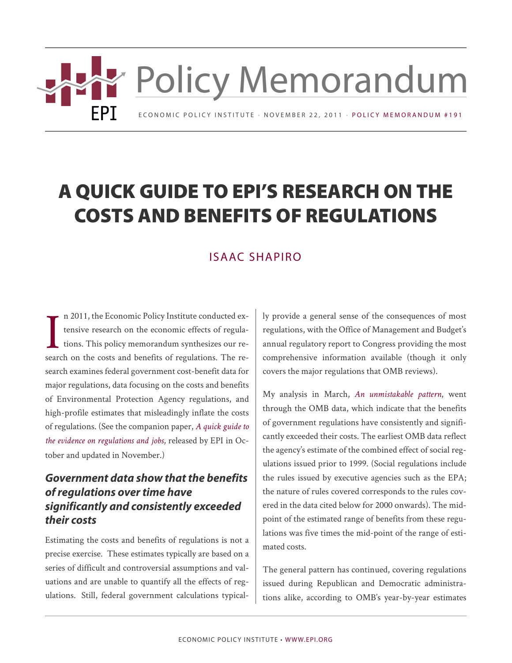

# **A QUICK GUIDE TO EPI'S RESEARCH ON THE COSTS AND BENEFITS OF REGULATIONS**

### [ISAAC SHAPIRO](http://www.epi.org/people/isaac-shapiro/)

n 2011, the Economic Policy Institute conducted extensive research on the economic effects of regulations. This policy memorandum synthesizes our research on the costs and benefits of regulations. The ren 2011, the Economic Policy Institute conducted extensive research on the economic effects of regulations. This policy memorandum synthesizes our research examines federal government cost-benefit data for major regulations, data focusing on the costs and benefits of Environmental Protection Agency regulations, and high-profile estimates that misleadingly inflate the costs of regulations. (See the companion paper, *A [quick](http://www.epi.org/publication/quick-guide-evidence-regulations-jobs/) guide to the evidence on [regulations](http://www.epi.org/publication/quick-guide-evidence-regulations-jobs/) and jobs*, released by EPI in October and updated in November.)

### *Government data show that the benefits of regulations over time have significantly and consistently exceeded their costs*

Estimating the costs and benefits of regulations is not a precise exercise. These estimates typically are based on a series of difficult and controversial assumptions and valuations and are unable to quantify all the effects of regulations. Still, federal government calculations typically provide a general sense of the consequences of most regulations, with the Office of Management and Budget's annual regulatory report to Congress providing the most comprehensive information available (though it only covers the major regulations that OMB reviews).

My analysis in March, *An [unmistakable](http://www.epi.org/page/-/old/issuebriefs/IssueBrief295.pdf) pattern*, went through the OMB data, which indicate that the benefits of government regulations have consistently and significantly exceeded their costs. The earliest OMB data reflect the agency's estimate of the combined effect of social regulations issued prior to 1999. (Social regulations include the rules issued by executive agencies such as the EPA; the nature of rules covered corresponds to the rules covered in the data cited below for 2000 onwards). The midpoint of the estimated range of benefits from these regulations was five times the mid-point of the range of estimated costs.

The general pattern has continued, covering regulations issued during Republican and Democratic administrations alike, according to OMB's year-by-year estimates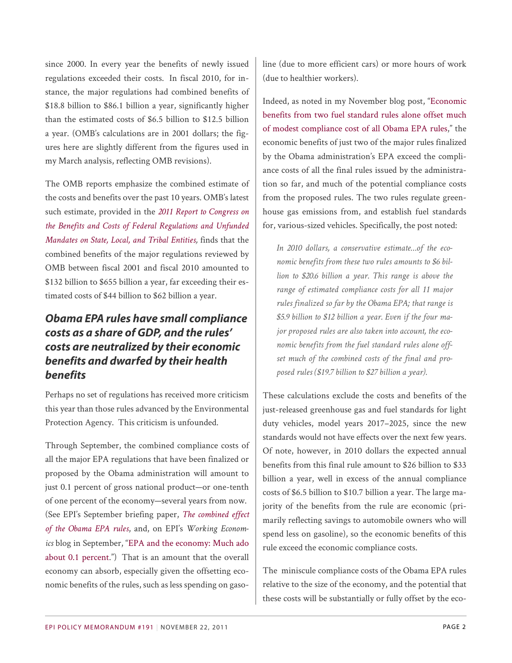since 2000. In every year the benefits of newly issued regulations exceeded their costs. In fiscal 2010, for instance, the major regulations had combined benefits of \$18.8 billion to \$86.1 billion a year, significantly higher than the estimated costs of \$6.5 billion to \$12.5 billion a year. (OMB's calculations are in 2001 dollars; the figures here are slightly different from the figures used in my March analysis, reflecting OMB revisions).

The OMB reports emphasize the combined estimate of the costs and benefits over the past 10 years. OMB's latest such estimate, provided in the *2011 Report to [Congress](http://www.whitehouse.gov/sites/default/files/omb/inforeg/2011_cb/2011_cba_report.pdf) on the Benefits and Costs of Federal [Regulations](http://www.whitehouse.gov/sites/default/files/omb/inforeg/2011_cb/2011_cba_report.pdf) and Unfunded [Mandates](http://www.whitehouse.gov/sites/default/files/omb/inforeg/2011_cb/2011_cba_report.pdf) on State, Local, and Tribal Entities,* finds that the combined benefits of the major regulations reviewed by OMB between fiscal 2001 and fiscal 2010 amounted to \$132 billion to \$655 billion a year, far exceeding their estimated costs of \$44 billion to \$62 billion a year.

## *Obama EPA rules have small compliance costs as a share of GDP, and the rules' costs are neutralized by their economic benefits and dwarfed by their health benefits*

Perhaps no set of regulations has received more criticism this year than those rules advanced by the Environmental Protection Agency. This criticism is unfounded.

Through September, the combined compliance costs of all the major EPA regulations that have been finalized or proposed by the Obama administration will amount to just 0.1 percent of gross national product—or one-tenth of one percent of the economy—several years from now. (See EPI's September briefing paper, *The [combined](http://www.epi.org/files/2011/BriefingPaper327.pdf) effect of the [Obama](http://www.epi.org/files/2011/BriefingPaper327.pdf) EPA rules*, and, on EPI's *Working Economics* blog in September, "EPA and the [economy:](http://www.epi.org/blog/epa-economy-ado-0-1-percent/) Much ado about 0.1 [percent](http://www.epi.org/blog/epa-economy-ado-0-1-percent/).") That is an amount that the overall economy can absorb, especially given the offsetting economic benefits of the rules, such as less spending on gasoline (due to more efficient cars) or more hours of work (due to healthier workers).

Indeed, as noted in my November blog post, "[Economic](http://www.epi.org/blog/economic-benefits-fuel-standard-rules-offset/) benefits from two fuel [standard](http://www.epi.org/blog/economic-benefits-fuel-standard-rules-offset/) rules alone offset much of modest [compliance](http://www.epi.org/blog/economic-benefits-fuel-standard-rules-offset/) cost of all Obama EPA rules," the economic benefits of just two of the major rules finalized by the Obama administration's EPA exceed the compliance costs of all the final rules issued by the administration so far, and much of the potential compliance costs from the proposed rules. The two rules regulate greenhouse gas emissions from, and establish fuel standards for, various-sized vehicles. Specifically, the post noted:

*In 2010 dollars, a conservative estimate…of the economic benefits from these two rules amounts to \$6 billion to \$20.6 billion a year. This range is above the range of estimated compliance costs for all 11 major rules finalized so far by the Obama EPA; that range is \$5.9 billion to \$12 billion a year. Even if the four major proposed rules are also taken into account, the economic benefits from the fuel standard rules alone offset much of the combined costs of the final and proposed rules (\$19.7 billion to \$27 billion a year).*

These calculations exclude the costs and benefits of the just-released greenhouse gas and fuel standards for light duty vehicles, model years 2017–2025, since the new standards would not have effects over the next few years. Of note, however, in 2010 dollars the expected annual benefits from this final rule amount to \$26 billion to \$33 billion a year, well in excess of the annual compliance costs of \$6.5 billion to \$10.7 billion a year. The large majority of the benefits from the rule are economic (primarily reflecting savings to automobile owners who will spend less on gasoline), so the economic benefits of this rule exceed the economic compliance costs.

The miniscule compliance costs of the Obama EPA rules relative to the size of the economy, and the potential that these costs will be substantially or fully offset by the eco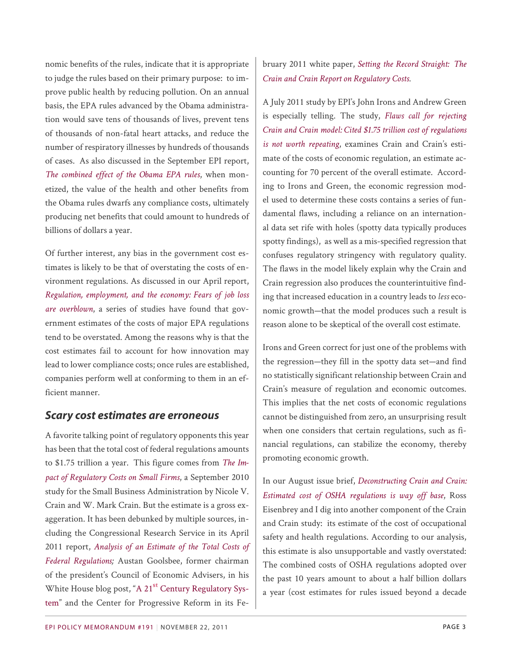nomic benefits of the rules, indicate that it is appropriate to judge the rules based on their primary purpose: to improve public health by reducing pollution. On an annual basis, the EPA rules advanced by the Obama administration would save tens of thousands of lives, prevent tens of thousands of non-fatal heart attacks, and reduce the number of respiratory illnesses by hundreds of thousands of cases. As also discussed in the September EPI report, *The [combined](http://www.epi.org/files/2011/BriefingPaper327.pdf) effect of the Obama EPA rules*, when monetized, the value of the health and other benefits from the Obama rules dwarfs any compliance costs, ultimately producing net benefits that could amount to hundreds of billions of dollars a year.

Of further interest, any bias in the government cost estimates is likely to be that of overstating the costs of environment regulations. As discussed in our April report, *Regulation, [employment,](http://www.epi.org/files/2011/BriefingPaper305.pdf) and the economy: Fears of job loss are [overblown](http://www.epi.org/files/2011/BriefingPaper305.pdf)*, a series of studies have found that government estimates of the costs of major EPA regulations tend to be overstated. Among the reasons why is that the cost estimates fail to account for how innovation may lead to lower compliance costs; once rules are established, companies perform well at conforming to them in an efficient manner.

#### *Scary cost estimates are erroneous*

A favorite talking point of regulatory opponents this year has been that the total cost of federal regulations amounts to \$1.75 trillion a year. This figure comes from *[The](http://archive.sba.gov/advo/research/rs371tot.pdf) Impact of [Regulatory](http://archive.sba.gov/advo/research/rs371tot.pdf) Costs on Small Firms*, a September 2010 study for the Small Business Administration by Nicole V. Crain and W. Mark Crain. But the estimate is a gross exaggeration. It has been debunked by multiple sources, including the Congressional Research Service in its April 2011 report, *Analysis of an [Estimate](http://www.progressivereform.org/articles/CRS_Crain_and_Crain.pdf) of the Total Costs of Federal [Regulations;](http://www.progressivereform.org/articles/CRS_Crain_and_Crain.pdf)* Austan Goolsbee, former chairman of the president's Council of Economic Advisers, in his White House blog post, "A 21**[st](http://m.whitehouse.gov/blog/2011/06/23/21st-century-regulatory-system)** Century [Regulatory](http://m.whitehouse.gov/blog/2011/06/23/21st-century-regulatory-system) Sys[tem"](http://m.whitehouse.gov/blog/2011/06/23/21st-century-regulatory-system) and the Center for Progressive Reform in its Fe-

*[Crain and Crain Report on Regulatory Costs](http://www.progressivereform.org/articles/SBA_Regulatory_Costs_Analysis_1103.pdf).* A July 2011 study by EPI's John Irons and Andrew Green is especially telling. The study, *Flaws call for [rejecting](http://www.epi.org/page/-/EPI_IssueBrief308.pdf) Crain and Crain model: Cited \$1.75 trillion cost of [regulations](http://www.epi.org/page/-/EPI_IssueBrief308.pdf)*

bruary 2011 white paper, *Setting the Record [Straight:](http://www.progressivereform.org/articles/SBA_Regulatory_Costs_Analysis_1103.pdf) The*

*is not worth [repeating](http://www.epi.org/page/-/EPI_IssueBrief308.pdf)*, examines Crain and Crain's estimate of the costs of economic regulation, an estimate accounting for 70 percent of the overall estimate. According to Irons and Green, the economic regression model used to determine these costs contains a series of fundamental flaws, including a reliance on an international data set rife with holes (spotty data typically produces spotty findings), as well as a mis-specified regression that confuses regulatory stringency with regulatory quality. The flaws in the model likely explain why the Crain and Crain regression also produces the counterintuitive finding that increased education in a country leads to *less* economic growth—that the model produces such a result is reason alone to be skeptical of the overall cost estimate.

Irons and Green correct for just one of the problems with the regression—they fill in the spotty data set—and find no statistically significant relationship between Crain and Crain's measure of regulation and economic outcomes. This implies that the net costs of economic regulations cannot be distinguished from zero, an unsurprising result when one considers that certain regulations, such as financial regulations, can stabilize the economy, thereby promoting economic growth.

In our August issue brief, *[Deconstructing](http://web.epi-data.org/temp727/IssueBrief312-2.pdf) Crain and Crain: Estimated cost of OSHA [regulations](http://web.epi-data.org/temp727/IssueBrief312-2.pdf) is way off base*, Ross Eisenbrey and I dig into another component of the Crain and Crain study: its estimate of the cost of occupational safety and health regulations. According to our analysis, this estimate is also unsupportable and vastly overstated: The combined costs of OSHA regulations adopted over the past 10 years amount to about a half billion dollars a year (cost estimates for rules issued beyond a decade